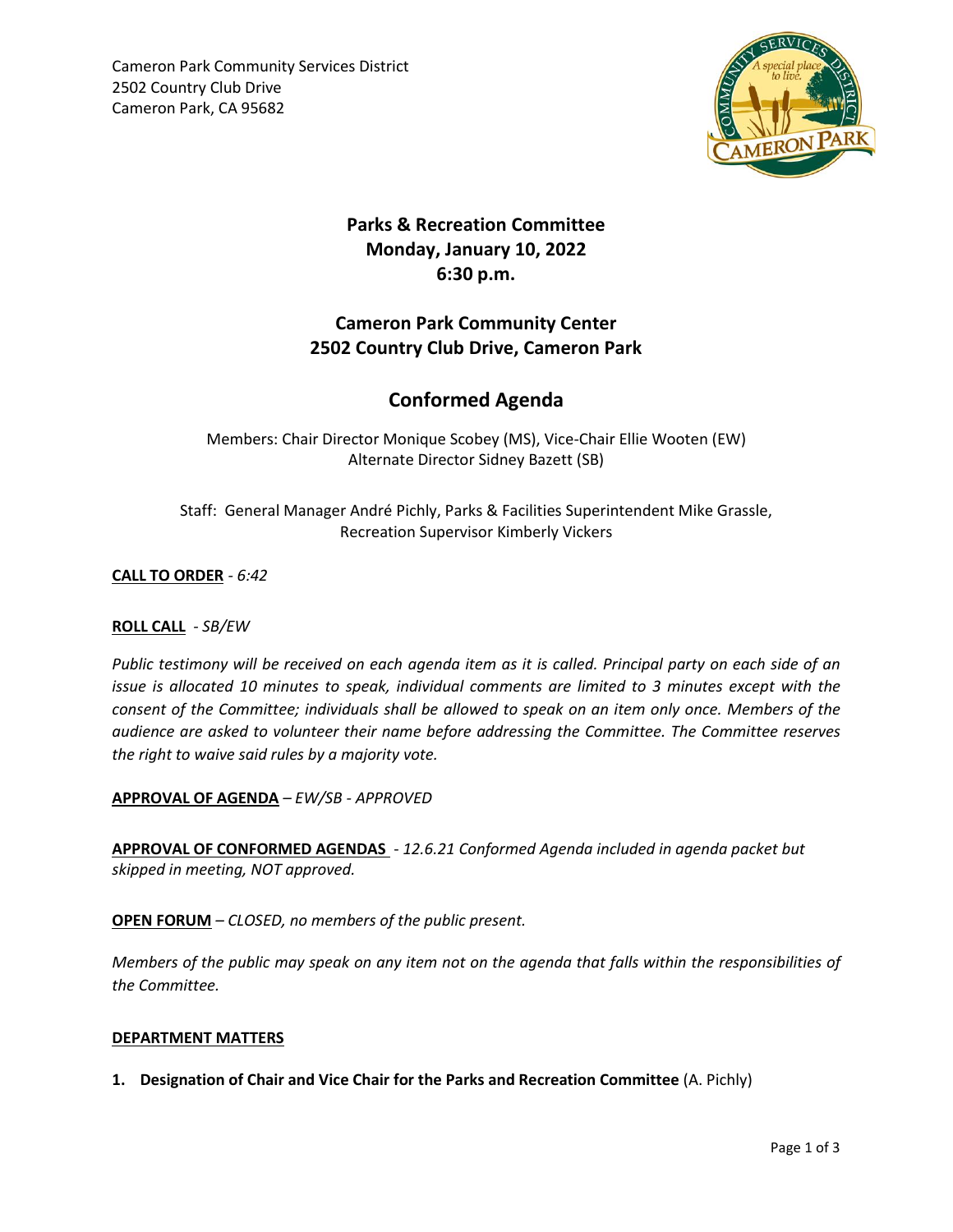

# **Parks & Recreation Committee Monday, January 10, 2022 6:30 p.m.**

### **Cameron Park Community Center 2502 Country Club Drive, Cameron Park**

## **Conformed Agenda**

Members: Chair Director Monique Scobey (MS), Vice-Chair Ellie Wooten (EW) Alternate Director Sidney Bazett (SB)

Staff: General Manager André Pichly, Parks & Facilities Superintendent Mike Grassle, Recreation Supervisor Kimberly Vickers

**CALL TO ORDER** *- 6:42* 

#### **ROLL CALL** *- SB/EW*

*Public testimony will be received on each agenda item as it is called. Principal party on each side of an issue is allocated 10 minutes to speak, individual comments are limited to 3 minutes except with the consent of the Committee; individuals shall be allowed to speak on an item only once. Members of the audience are asked to volunteer their name before addressing the Committee. The Committee reserves the right to waive said rules by a majority vote.*

**APPROVAL OF AGENDA** *– EW/SB - APPROVED*

**APPROVAL OF CONFORMED AGENDAS** - *12.6.21 Conformed Agenda included in agenda packet but skipped in meeting, NOT approved.* 

**OPEN FORUM** *– CLOSED, no members of the public present.*

*Members of the public may speak on any item not on the agenda that falls within the responsibilities of the Committee.*

#### **DEPARTMENT MATTERS**

**1. Designation of Chair and Vice Chair for the Parks and Recreation Committee** (A. Pichly)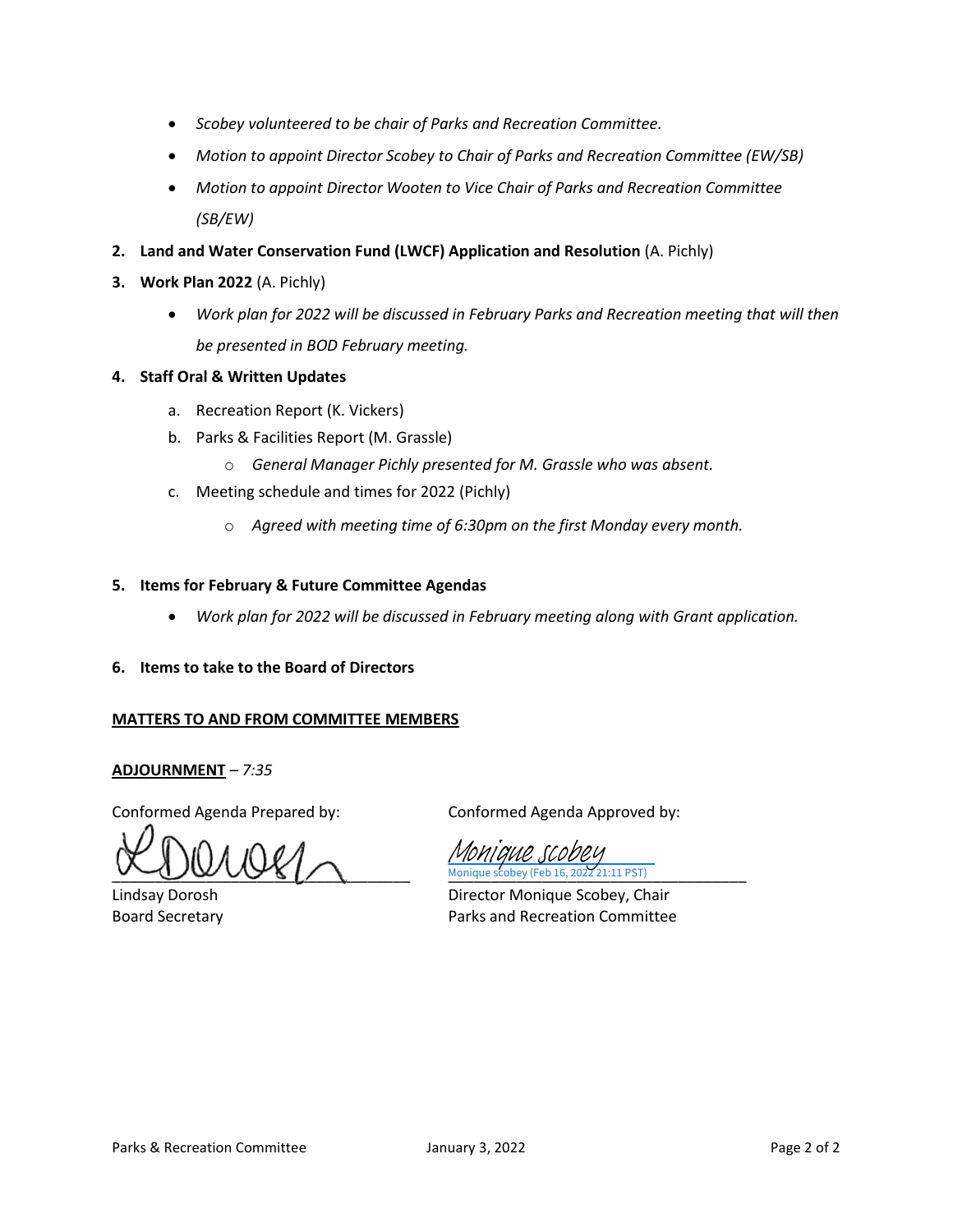- *Scobey volunteered to be chair of Parks and Recreation Committee.*
- *Motion to appoint Director Scobey to Chair of Parks and Recreation Committee (EW/SB)*
- *Motion to appoint Director Wooten to Vice Chair of Parks and Recreation Committee (SB/EW)*
- **2. Land and Water Conservation Fund (LWCF) Application and Resolution** (A. Pichly)
- **3. Work Plan 2022** (A. Pichly)
	- *Work plan for 2022 will be discussed in February Parks and Recreation meeting that will then be presented in BOD February meeting.*

#### **4. Staff Oral & Written Updates**

- a. Recreation Report (K. Vickers)
- b. Parks & Facilities Report (M. Grassle)
	- o *General Manager Pichly presented for M. Grassle who was absent.*
- c. Meeting schedule and times for 2022 (Pichly)
	- o *Agreed with meeting time of 6:30pm on the first Monday every month.*

#### **5. Items for February & Future Committee Agendas**

- *Work plan for 2022 will be discussed in February meeting along with Grant application.*
- **6. Items to take to the Board of Directors**

#### **MATTERS TO AND FROM COMMITTEE MEMBERS**

#### **ADJOURNMENT** *– 7:35*

Conformed Agenda Prepared by: Conformed Agenda Approved by:

Monique scobey (Feb 16, 2022 21:11 PST)

,<br>21·11 PST) [Monique scobey](https://na2.documents.adobe.com/verifier?tx=CBJCHBCAABAAFhVyv5rT1Xnjq0quoAbyWvIPoMBfC8eQ)

Lindsay Dorosh Director Monique Scobey, Chair Board Secretary **Parks and Recreation Committee**